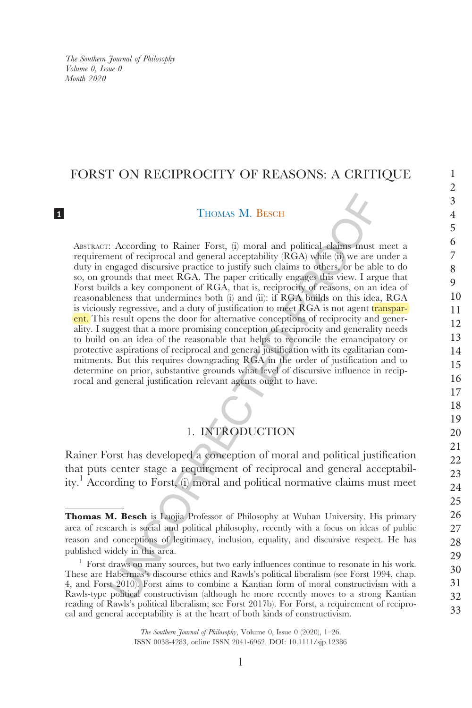*The Southern Journal of Philosophy Volume 0, Issue 0 Month 2020*

## FORST ON RECIPROCITY OF REASONS: A CRITIQUE

#### **[1](#page--1-0)**

#### Thomas M. Besch

Abstract: According to Rainer Forst, (i) moral and political claims must meet a requirement of reciprocal and general acceptability (RGA) while (ii) we are under a duty in engaged discursive practice to justify such claims to others, or be able to do so, on grounds that meet RGA. The paper critically engages this view. I argue that Forst builds a key component of RGA, that is, reciprocity of reasons, on an idea of reasonableness that undermines both (i) and (ii): if RGA builds on this idea, RGA is viciously regressive, and a duty of justification to meet RGA is not agent transparent. This result opens the door for alternative conceptions of reciprocity and generality. I suggest that a more promising conception of reciprocity and generality needs to build on an idea of the reasonable that helps to reconcile the emancipatory or protective aspirations of reciprocal and general justification with its egalitarian commitments. But this requires downgrading RGA in the order of justification and to determine on prior, substantive grounds what level of discursive influence in reciprocal and general justification relevant agents ought to have.

# 1. INTRODUCTION

Rainer Forst has developed a conception of moral and political justification that puts center stage a requirement of reciprocal and general acceptability.<sup>1</sup> According to Forst, (i) moral and political normative claims must meet

*The Southern Journal of Philosophy*, Volume 0, Issue 0 (2020), 1–26. ISSN 0038-4283, online ISSN 2041-6962. DOI: 10.1111/sjp.12386

**Thomas M. Besch** is Luojia Professor of Philosophy at Wuhan University. His primary area of research is social and political philosophy, recently with a focus on ideas of public reason and conceptions of legitimacy, inclusion, equality, and discursive respect. He has published widely in this area.

<sup>&</sup>lt;sup>1</sup> Forst draws on many sources, but two early influences continue to resonate in his work. These are Habermas's discourse ethics and Rawls's political liberalism (see Forst 1994, chap. 4, and Forst 2010). Forst aims to combine a Kantian form of moral constructivism with a Rawls-type political constructivism (although he more recently moves to a strong Kantian reading of Rawls's political liberalism; see Forst 2017b). For Forst, a requirement of reciprocal and general acceptability is at the heart of both kinds of constructivism.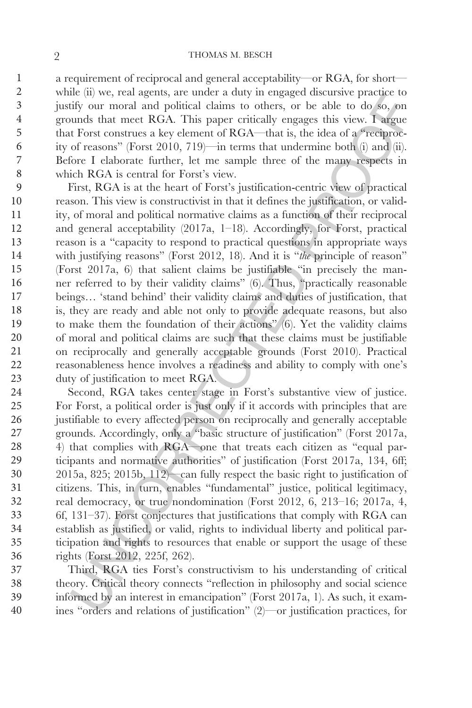1 2 3 4 5 6 7 8 a requirement of reciprocal and general acceptability—or RGA, for short while (ii) we, real agents, are under a duty in engaged discursive practice to justify our moral and political claims to others, or be able to do so, on grounds that meet RGA. This paper critically engages this view. I argue that Forst construes a key element of RGA—that is, the idea of a "reciprocity of reasons" (Forst 2010, 719)—in terms that undermine both (i) and (ii). Before I elaborate further, let me sample three of the many respects in which RGA is central for Forst's view.

9 10 11 12 13 14 15 16 17 18 19 20 21 22 23 First, RGA is at the heart of Forst's justification-centric view of practical reason. This view is constructivist in that it defines the justification, or validity, of moral and political normative claims as a function of their reciprocal and general acceptability (2017a, 1–18). Accordingly, for Forst, practical reason is a "capacity to respond to practical questions in appropriate ways with justifying reasons" (Forst 2012, 18). And it is "*the* principle of reason" (Forst 2017a, 6) that salient claims be justifiable "in precisely the manner referred to by their validity claims" (6). Thus, "practically reasonable beings… 'stand behind' their validity claims and duties of justification, that is, they are ready and able not only to provide adequate reasons, but also to make them the foundation of their actions" (6). Yet the validity claims of moral and political claims are such that these claims must be justifiable on reciprocally and generally acceptable grounds (Forst 2010). Practical reasonableness hence involves a readiness and ability to comply with one's duty of justification to meet RGA.

24 25 26 27 28 29 30 31 32 33 34 35 36 Second, RGA takes center stage in Forst's substantive view of justice. For Forst, a political order is just only if it accords with principles that are justifiable to every affected person on reciprocally and generally acceptable grounds. Accordingly, only a "basic structure of justification" (Forst 2017a, 4) that complies with RGA—one that treats each citizen as "equal participants and normative authorities" of justification (Forst 2017a, 134, 6ff; 2015a, 825; 2015b, 112)—can fully respect the basic right to justification of citizens. This, in turn, enables "fundamental" justice, political legitimacy, real democracy, or true nondomination (Forst 2012, 6, 213–16; 2017a, 4, 6f, 131–37). Forst conjectures that justifications that comply with RGA can establish as justified, or valid, rights to individual liberty and political participation and rights to resources that enable or support the usage of these rights (Forst 2012, 225f, 262).

37 38 39 40 Third, RGA ties Forst's constructivism to his understanding of critical theory. Critical theory connects "reflection in philosophy and social science informed by an interest in emancipation" (Forst 2017a, 1). As such, it examines "orders and relations of justification" (2)—or justification practices, for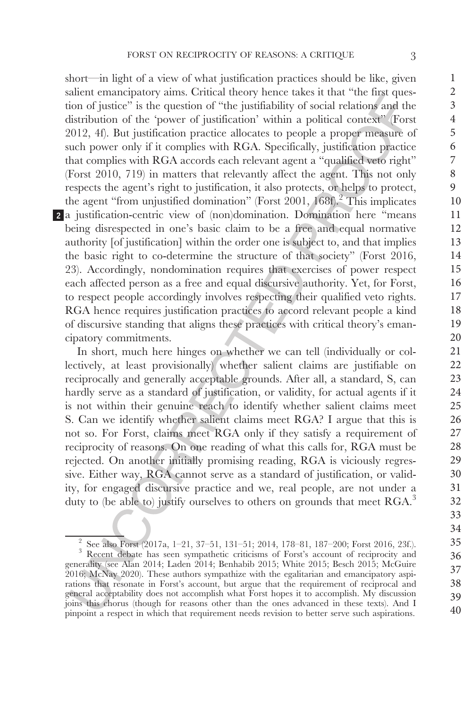short—in light of a view of what justification practices should be like, given salient emancipatory aims. Critical theory hence takes it that "the first question of justice" is the question of "the justifiability of social relations and the distribution of the 'power of justification' within a political context" (Forst 2012, 4f). But justification practice allocates to people a proper measure of such power only if it complies with RGA. Specifically, justification practice that complies with RGA accords each relevant agent a "qualified veto right" (Forst 2010, 719) in matters that relevantly affect the agent. This not only respects the agent's right to justification, it also protects, or helps to protect, the agent "from unjustified domination" (Forst 2001, 168f).<sup>2</sup> This implicates a justification-centric view of (non)domination. Domination here "means **[2](#page--1-1)**being disrespected in one's basic claim to be a free and equal normative authority [of justification] within the order one is subject to, and that implies the basic right to co-determine the structure of that society" (Forst 2016, 23). Accordingly, nondomination requires that exercises of power respect each affected person as a free and equal discursive authority. Yet, for Forst, to respect people accordingly involves respecting their qualified veto rights. RGA hence requires justification practices to accord relevant people a kind of discursive standing that aligns these practices with critical theory's emancipatory commitments.

In short, much here hinges on whether we can tell (individually or collectively, at least provisionally) whether salient claims are justifiable on reciprocally and generally acceptable grounds. After all, a standard, S, can hardly serve as a standard of justification, or validity, for actual agents if it is not within their genuine reach to identify whether salient claims meet S. Can we identify whether salient claims meet RGA? I argue that this is not so. For Forst, claims meet RGA only if they satisfy a requirement of reciprocity of reasons. On one reading of what this calls for, RGA must be rejected. On another initially promising reading, RGA is viciously regressive. Either way, RGA cannot serve as a standard of justification, or validity, for engaged discursive practice and we, real people, are not under a duty to (be able to) justify ourselves to others on grounds that meet RGA.<sup>3</sup>

<sup>&</sup>lt;sup>2</sup> See also Forst (2017a, 1–21, 37–51, 131–51; 2014, 178–81, 187–200; Forst 2016, 23f.). <sup>3</sup> Recent debate has seen sympathetic criticisms of Forst's account of reciprocity and generality (see Alan 2014; Laden 2014; Benhabib 2015; White 2015; Besch 2015; McGuire 2016; McNay 2020). These authors sympathize with the egalitarian and emancipatory aspirations that resonate in Forst's account, but argue that the requirement of reciprocal and general acceptability does not accomplish what Forst hopes it to accomplish. My discussion joins this chorus (though for reasons other than the ones advanced in these texts). And I pinpoint a respect in which that requirement needs revision to better serve such aspirations.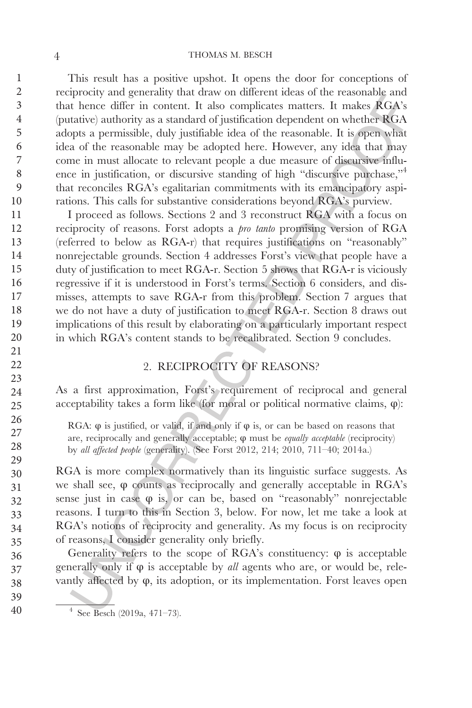This result has a positive upshot. It opens the door for conceptions of reciprocity and generality that draw on different ideas of the reasonable and that hence differ in content. It also complicates matters. It makes RGA's (putative) authority as a standard of justification dependent on whether RGA adopts a permissible, duly justifiable idea of the reasonable. It is open what idea of the reasonable may be adopted here. However, any idea that may come in must allocate to relevant people a due measure of discursive influence in justification, or discursive standing of high "discursive purchase,"<sup>4</sup> that reconciles RGA's egalitarian commitments with its emancipatory aspirations. This calls for substantive considerations beyond RGA's purview.

11 12 13 14 15 16 17 18 19 20 I proceed as follows. Sections 2 and 3 reconstruct RGA with a focus on reciprocity of reasons. Forst adopts a *pro tanto* promising version of RGA (referred to below as RGA-r) that requires justifications on "reasonably" nonrejectable grounds. Section 4 addresses Forst's view that people have a duty of justification to meet RGA-r. Section 5 shows that RGA-r is viciously regressive if it is understood in Forst's terms. Section 6 considers, and dismisses, attempts to save RGA-r from this problem. Section 7 argues that we do not have a duty of justification to meet RGA-r. Section 8 draws out implications of this result by elaborating on a particularly important respect in which RGA's content stands to be recalibrated. Section 9 concludes.

### 2. RECIPROCITY OF REASONS?

As a first approximation, Forst's requirement of reciprocal and general acceptability takes a form like (for moral or political normative claims,  $\varphi$ ):

RGA:  $\varphi$  is justified, or valid, if and only if  $\varphi$  is, or can be based on reasons that are, reciprocally and generally acceptable; φ must be *equally acceptable* (reciprocity) by *all affected people* (generality). (See Forst 2012, 214; 2010, 711–40; 2014a.)

30 31 32 33 34 35 RGA is more complex normatively than its linguistic surface suggests. As we shall see, φ counts as reciprocally and generally acceptable in RGA's sense just in case  $\varphi$  is, or can be, based on "reasonably" nonrejectable reasons. I turn to this in Section 3, below. For now, let me take a look at RGA's notions of reciprocity and generality. As my focus is on reciprocity of reasons, I consider generality only briefly.

36 37 38 Generality refers to the scope of  $RGA$ 's constituency:  $\varphi$  is acceptable generally only if φ is acceptable by *all* agents who are, or would be, relevantly affected by φ, its adoption, or its implementation. Forst leaves open

39 40

<sup>4</sup> See Besch (2019a, 471–73).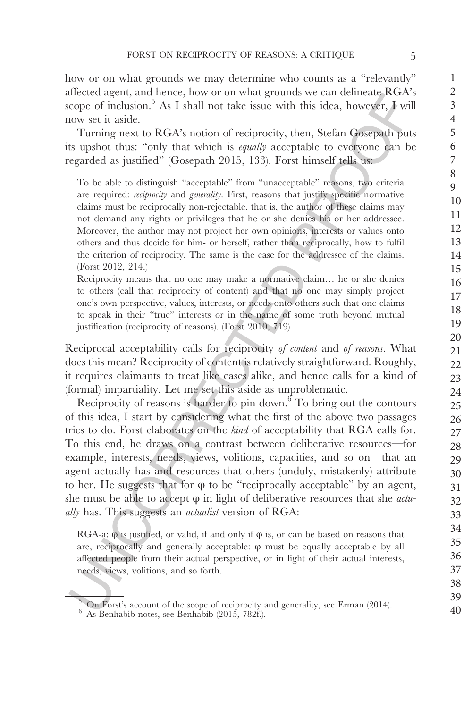how or on what grounds we may determine who counts as a "relevantly" affected agent, and hence, how or on what grounds we can delineate RGA's scope of inclusion.<sup>5</sup> As I shall not take issue with this idea, however, I will now set it aside.

Turning next to RGA's notion of reciprocity, then, Stefan Gosepath puts its upshot thus: "only that which is *equally* acceptable to everyone can be regarded as justified" (Gosepath 2015, 133). Forst himself tells us:

To be able to distinguish "acceptable" from "unacceptable" reasons, two criteria are required: *reciprocity* and *generality*. First, reasons that justify specific normative claims must be reciprocally non-rejectable, that is, the author of these claims may not demand any rights or privileges that he or she denies his or her addressee. Moreover, the author may not project her own opinions, interests or values onto others and thus decide for him- or herself, rather than reciprocally, how to fulfil the criterion of reciprocity. The same is the case for the addressee of the claims. (Forst 2012, 214.)

Reciprocity means that no one may make a normative claim… he or she denies to others (call that reciprocity of content) and that no one may simply project one's own perspective, values, interests, or needs onto others such that one claims to speak in their "true" interests or in the name of some truth beyond mutual justification (reciprocity of reasons). (Forst 2010, 719)

Reciprocal acceptability calls for reciprocity *of content* and *of reasons*. What does this mean? Reciprocity of content is relatively straightforward. Roughly, it requires claimants to treat like cases alike, and hence calls for a kind of (formal) impartiality. Let me set this aside as unproblematic.

Reciprocity of reasons is harder to pin down.<sup>6</sup> To bring out the contours of this idea, I start by considering what the first of the above two passages tries to do. Forst elaborates on the *kind* of acceptability that RGA calls for. To this end, he draws on a contrast between deliberative resources—for example, interests, needs, views, volitions, capacities, and so on—that an agent actually has and resources that others (unduly, mistakenly) attribute to her. He suggests that for φ to be "reciprocally acceptable" by an agent, she must be able to accept φ in light of deliberative resources that she *actually* has. This suggests an *actualist* version of RGA:

RGA-a:  $\varphi$  is justified, or valid, if and only if  $\varphi$  is, or can be based on reasons that are, reciprocally and generally acceptable:  $\varphi$  must be equally acceptable by all affected people from their actual perspective, or in light of their actual interests, needs, views, volitions, and so forth.

 $^5$  On Forst's account of the scope of reciprocity and generality, see Erman (2014).  $^6$  As Benhabib notes, see Benhabib (2015, 782f.).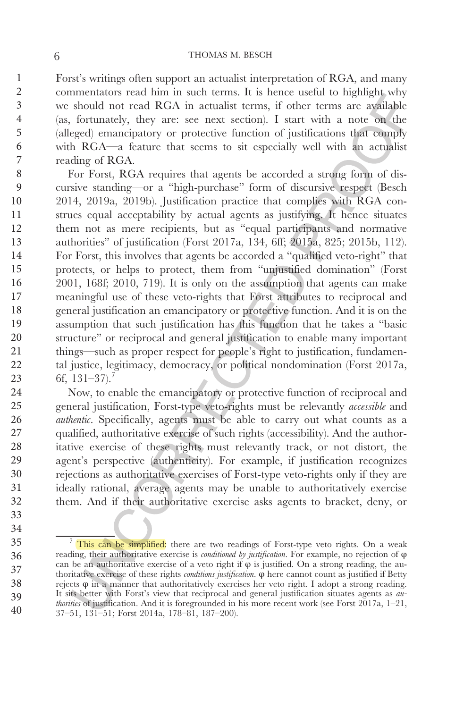Forst's writings often support an actualist interpretation of RGA, and many commentators read him in such terms. It is hence useful to highlight why we should not read RGA in actualist terms, if other terms are available (as, fortunately, they are: see next section). I start with a note on the (alleged) emancipatory or protective function of justifications that comply with RGA—a feature that seems to sit especially well with an actualist reading of RGA.

8 9 10 11 12 13 14 15 16 17 18 19 20 21 22 23 For Forst, RGA requires that agents be accorded a strong form of discursive standing—or a "high-purchase" form of discursive respect (Besch 2014, 2019a, 2019b). Justification practice that complies with RGA construes equal acceptability by actual agents as justifying. It hence situates them not as mere recipients, but as "equal participants and normative authorities" of justification (Forst 2017a, 134, 6ff; 2015a, 825; 2015b, 112). For Forst, this involves that agents be accorded a "qualified veto-right" that protects, or helps to protect, them from "unjustified domination" (Forst 2001, 168f; 2010, 719). It is only on the assumption that agents can make meaningful use of these veto-rights that Forst attributes to reciprocal and general justification an emancipatory or protective function. And it is on the assumption that such justification has this function that he takes a "basic structure" or reciprocal and general justification to enable many important things—such as proper respect for people's right to justification, fundamental justice, legitimacy, democracy, or political nondomination (Forst 2017a, 6f,  $131-37$ .

24 25 26 27 28 29 30 31 32 Now, to enable the emancipatory or protective function of reciprocal and general justification, Forst-type veto-rights must be relevantly *accessible* and *authentic*. Specifically, agents must be able to carry out what counts as a qualified, authoritative exercise of such rights (accessibility). And the authoritative exercise of these rights must relevantly track, or not distort, the agent's perspective (authenticity). For example, if justification recognizes rejections as authoritative exercises of Forst-type veto-rights only if they are ideally rational, average agents may be unable to authoritatively exercise them. And if their authoritative exercise asks agents to bracket, deny, or

<sup>35</sup> 36 37 38 39 40  $7$  This can be simplified: there are two readings of Forst-type veto rights. On a weak reading, their authoritative exercise is *conditioned by justification*. For example, no rejection of φ can be an authoritative exercise of a veto right if  $\varphi$  is justified. On a strong reading, the authoritative exercise of these rights *conditions justification*. φ here cannot count as justified if Betty rejects φ in a manner that authoritatively exercises her veto right. I adopt a strong reading. It sits better with Forst's view that reciprocal and general justification situates agents as *authorities* of justification. And it is foregrounded in his more recent work (see Forst 2017a, 1–21, 37–51, 131–51; Forst 2014a, 178–81, 187–200).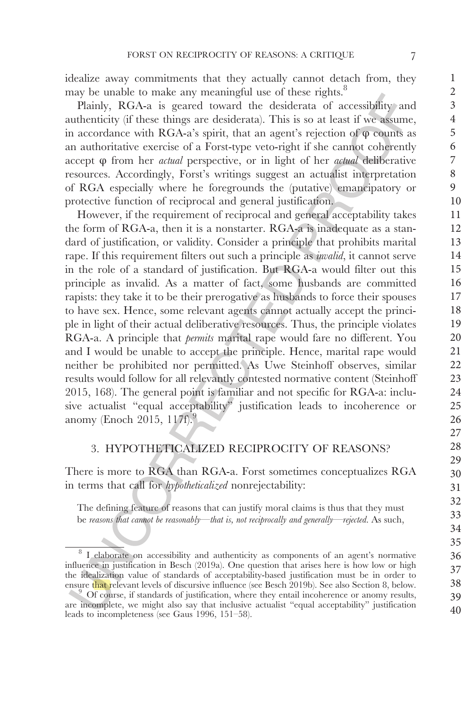idealize away commitments that they actually cannot detach from, they may be unable to make any meaningful use of these rights.<sup>8</sup>

Plainly, RGA-a is geared toward the desiderata of accessibility and authenticity (if these things are desiderata). This is so at least if we assume, in accordance with RGA-a's spirit, that an agent's rejection of  $\varphi$  counts as an authoritative exercise of a Forst-type veto-right if she cannot coherently accept φ from her *actual* perspective, or in light of her *actual* deliberative resources. Accordingly, Forst's writings suggest an actualist interpretation of RGA especially where he foregrounds the (putative) emancipatory or protective function of reciprocal and general justification.

However, if the requirement of reciprocal and general acceptability takes the form of RGA-a, then it is a nonstarter. RGA-a is inadequate as a standard of justification, or validity. Consider a principle that prohibits marital rape. If this requirement filters out such a principle as *invalid*, it cannot serve in the role of a standard of justification. But RGA-a would filter out this principle as invalid. As a matter of fact, some husbands are committed rapists: they take it to be their prerogative as husbands to force their spouses to have sex. Hence, some relevant agents cannot actually accept the principle in light of their actual deliberative resources. Thus, the principle violates RGA-a. A principle that *permits* marital rape would fare no different. You and I would be unable to accept the principle. Hence, marital rape would neither be prohibited nor permitted. As Uwe Steinhoff observes, similar results would follow for all relevantly contested normative content (Steinhoff 2015, 168). The general point is familiar and not specific for RGA-a: inclusive actualist "equal acceptability" justification leads to incoherence or anomy (Enoch 2015,  $117f$ ).<sup>9</sup>

## 3. HYPOTHETICALIZED RECIPROCITY OF REASONS?

There is more to RGA than RGA-a. Forst sometimes conceptualizes RGA in terms that call for *hypotheticalized* nonrejectability:

The defining feature of reasons that can justify moral claims is thus that they must be *reasons that cannot be reasonably—that is, not reciprocally and generally—rejected*. As such,

<sup>&</sup>lt;sup>8</sup> I elaborate on accessibility and authenticity as components of an agent's normative influence in justification in Besch (2019a). One question that arises here is how low or high the idealization value of standards of acceptability-based justification must be in order to ensure that relevant levels of discursive influence (see Besch 2019b). See also Section 8, below.

 $\frac{1}{2}$  Of course, if standards of justification, where they entail incoherence or anomy results, are incomplete, we might also say that inclusive actualist "equal acceptability" justification leads to incompleteness (see Gaus 1996, 151–58).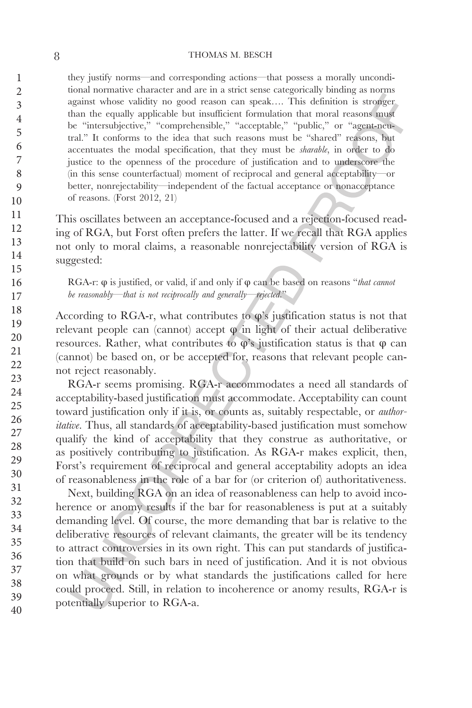they justify norms—and corresponding actions—that possess a morally unconditional normative character and are in a strict sense categorically binding as norms against whose validity no good reason can speak…. This definition is stronger than the equally applicable but insufficient formulation that moral reasons must be "intersubjective," "comprehensible," "acceptable," "public," or "agent-neutral." It conforms to the idea that such reasons must be "shared" reasons, but accentuates the modal specification, that they must be *sharable*, in order to do justice to the openness of the procedure of justification and to underscore the (in this sense counterfactual) moment of reciprocal and general acceptability—or better, nonrejectability—independent of the factual acceptance or nonacceptance of reasons. (Forst 2012, 21)

12 This oscillates between an acceptance-focused and a rejection-focused reading of RGA, but Forst often prefers the latter. If we recall that RGA applies not only to moral claims, a reasonable nonrejectability version of RGA is suggested:

> RGA-r: φ is justified, or valid, if and only if φ can be based on reasons "*that cannot be reasonably—that is not reciprocally and generally—rejected.*"

According to RGA-r, what contributes to  $\varphi$ 's justification status is not that relevant people can (cannot) accept  $\varphi$  in light of their actual deliberative resources. Rather, what contributes to  $\varphi$ 's justification status is that  $\varphi$  can (cannot) be based on, or be accepted for, reasons that relevant people cannot reject reasonably.

23 24 25 26 27 28 29 30 RGA-r seems promising. RGA-r accommodates a need all standards of acceptability-based justification must accommodate. Acceptability can count toward justification only if it is, or counts as, suitably respectable, or *authoritative*. Thus, all standards of acceptability-based justification must somehow qualify the kind of acceptability that they construe as authoritative, or as positively contributing to justification. As RGA-r makes explicit, then, Forst's requirement of reciprocal and general acceptability adopts an idea of reasonableness in the role of a bar for (or criterion of) authoritativeness.

31 32 33 34 35 36 37 38 39 40 Next, building RGA on an idea of reasonableness can help to avoid incoherence or anomy results if the bar for reasonableness is put at a suitably demanding level. Of course, the more demanding that bar is relative to the deliberative resources of relevant claimants, the greater will be its tendency to attract controversies in its own right. This can put standards of justification that build on such bars in need of justification. And it is not obvious on what grounds or by what standards the justifications called for here could proceed. Still, in relation to incoherence or anomy results, RGA-r is potentially superior to RGA-a.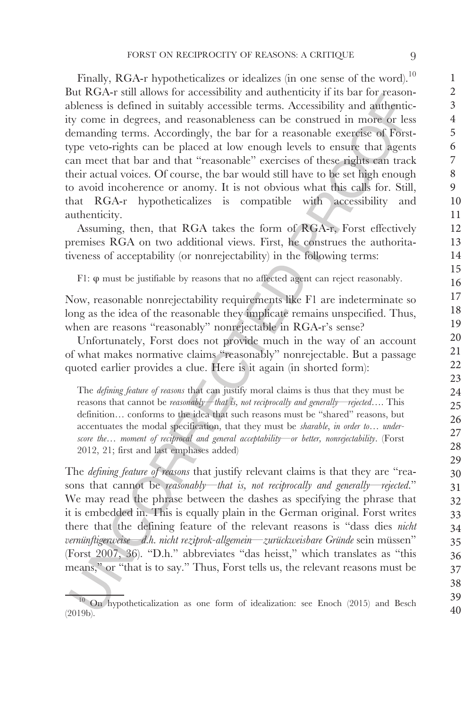Finally, RGA-r hypotheticalizes or idealizes (in one sense of the word).<sup>10</sup> But RGA-r still allows for accessibility and authenticity if its bar for reasonableness is defined in suitably accessible terms. Accessibility and authenticity come in degrees, and reasonableness can be construed in more or less demanding terms. Accordingly, the bar for a reasonable exercise of Forsttype veto-rights can be placed at low enough levels to ensure that agents can meet that bar and that "reasonable" exercises of these rights can track their actual voices. Of course, the bar would still have to be set high enough to avoid incoherence or anomy. It is not obvious what this calls for. Still, that RGA-r hypotheticalizes is compatible with accessibility and authenticity.

Assuming, then, that RGA takes the form of RGA-r, Forst effectively premises RGA on two additional views. First, he construes the authoritativeness of acceptability (or nonrejectability) in the following terms:

F1: φ must be justifiable by reasons that no affected agent can reject reasonably.

Now, reasonable nonrejectability requirements like F1 are indeterminate so long as the idea of the reasonable they implicate remains unspecified. Thus, when are reasons "reasonably" nonrejectable in RGA-r's sense?

Unfortunately, Forst does not provide much in the way of an account of what makes normative claims "reasonably" nonrejectable. But a passage quoted earlier provides a clue. Here is it again (in shorted form):

The *defining feature of reasons* that can justify moral claims is thus that they must be reasons that cannot be *reasonably—that is, not reciprocally and generally—rejected*…. This definition… conforms to the idea that such reasons must be "shared" reasons, but accentuates the modal specification, that they must be *sharable*, *in order to*… *underscore the*… *moment of reciprocal and general acceptability—or better, nonrejectability*. (Forst 2012, 21; first and last emphases added)

The *defining feature of reasons* that justify relevant claims is that they are "reasons that cannot be *reasonably—that is, not reciprocally and generally—rejected*." We may read the phrase between the dashes as specifying the phrase that it is embedded in. This is equally plain in the German original. Forst writes there that the defining feature of the relevant reasons is "dass dies *nicht vernünftigerweise—d.h. nicht reziprok-allgemein—zurückweisbare Gründe* sein müssen" (Forst 2007, 36). "D.h." abbreviates "das heisst," which translates as "this means," or "that is to say." Thus, Forst tells us, the relevant reasons must be

<sup>10</sup> On hypotheticalization as one form of idealization: see Enoch (2015) and Besch (2019b).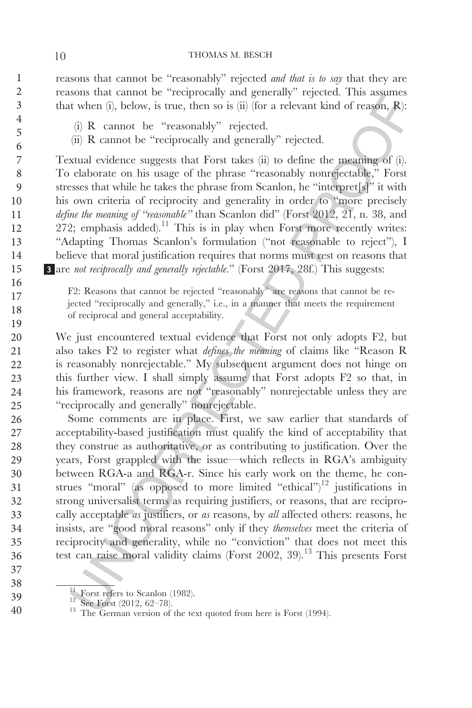reasons that cannot be "reasonably" rejected *and that is to say* that they are reasons that cannot be "reciprocally and generally" rejected. This assumes that when (i), below, is true, then so is (ii) (for a relevant kind of reason,  $\mathbb{R}$ ):

- (i) R cannot be "reasonably" rejected.
- (ii) R cannot be "reciprocally and generally" rejected.

Textual evidence suggests that Forst takes (ii) to define the meaning of (i). To elaborate on his usage of the phrase "reasonably nonrejectable," Forst stresses that while he takes the phrase from Scanlon, he "interpret[s]" it with his own criteria of reciprocity and generality in order to "more precisely *define the meaning of "reasonable"* than Scanlon did" (Forst 2012, 21, n. 38, and  $272$ ; emphasis added).<sup>11</sup> This is in play when Forst more recently writes: "Adapting Thomas Scanlon's formulation ("not reasonable to reject"), I believe that moral justification requires that norms must rest on reasons that **[3](#page--1-2)** are *not reciprocally and generally rejectable.*" (Forst 2017, 28f.) This suggests:

F2: Reasons that cannot be rejected "reasonably" are reasons that cannot be rejected "reciprocally and generally," i.e., in a manner that meets the requirement of reciprocal and general acceptability.

20 21 22 23 24 25 We just encountered textual evidence that Forst not only adopts F2, but also takes F2 to register what *defines the meaning* of claims like "Reason R is reasonably nonrejectable." My subsequent argument does not hinge on this further view. I shall simply assume that Forst adopts F2 so that, in his framework, reasons are not "reasonably" nonrejectable unless they are "reciprocally and generally" nonrejectable.

26 27 28 29 30 31 32 33 34 35 36 Some comments are in place. First, we saw earlier that standards of acceptability-based justification must qualify the kind of acceptability that they construe as authoritative, or as contributing to justification. Over the years, Forst grappled with the issue—which reflects in RGA's ambiguity between RGA-a and RGA-r. Since his early work on the theme, he construes "moral" (as opposed to more limited "ethical")<sup>12</sup> justifications in strong universalist terms as requiring justifiers, or reasons, that are reciprocally acceptable *as* justifiers, or *as* reasons, by *all* affected others: reasons, he insists, are "good moral reasons" only if they *themselves* meet the criteria of reciprocity and generality, while no "conviction" that does not meet this test can raise moral validity claims (Forst 2002, 39).<sup>13</sup> This presents Forst

37 38

<sup>39</sup> 40

<sup>&</sup>lt;sup>11</sup> Forst refers to Scanlon (1982).<br><sup>12</sup> See Forst (2012, 62–78).<br><sup>13</sup> The German version of the text quoted from here is Forst (1994).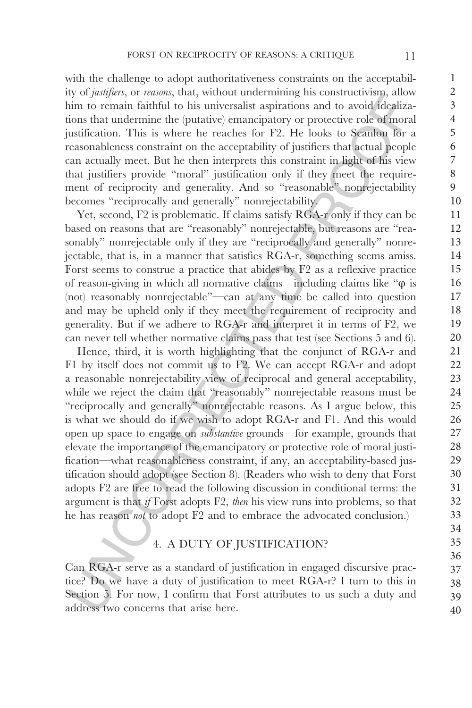with the challenge to adopt authoritativeness constraints on the acceptability of *justifiers*, or *reasons*, that, without undermining his constructivism, allow him to remain faithful to his universalist aspirations and to avoid idealizations that undermine the (putative) emancipatory or protective role of moral justification. This is where he reaches for F2. He looks to Scanlon for a reasonableness constraint on the acceptability of justifiers that actual people can actually meet. But he then interprets this constraint in light of his view that justifiers provide "moral" justification only if they meet the requirement of reciprocity and generality. And so "reasonable" nonrejectability becomes "reciprocally and generally" nonrejectability.

Yet, second, F2 is problematic. If claims satisfy RGA-r only if they can be based on reasons that are "reasonably" nonrejectable, but reasons are "reasonably" nonrejectable only if they are "reciprocally and generally" nonrejectable, that is, in a manner that satisfies RGA-r, something seems amiss. Forst seems to construe a practice that abides by F2 as a reflexive practice of reason-giving in which all normative claims—including claims like "φ is (not) reasonably nonrejectable"—can at any time be called into question and may be upheld only if they meet the requirement of reciprocity and generality. But if we adhere to RGA-r and interpret it in terms of F2, we can never tell whether normative claims pass that test (see Sections 5 and 6).

21 22 23 24 25 26 27 28 29 30 31 32 Hence, third, it is worth highlighting that the conjunct of RGA-r and F1 by itself does not commit us to F2. We can accept RGA-r and adopt a reasonable nonrejectability view of reciprocal and general acceptability, while we reject the claim that "reasonably" nonrejectable reasons must be "reciprocally and generally" nonrejectable reasons. As I argue below, this is what we should do if we wish to adopt RGA-r and F1. And this would open up space to engage on *substantive* grounds—for example, grounds that elevate the importance of the emancipatory or protective role of moral justification—what reasonableness constraint, if any, an acceptability-based justification should adopt (see Section 8). (Readers who wish to deny that Forst adopts F2 are free to read the following discussion in conditional terms: the argument is that *if* Forst adopts F2, *then* his view runs into problems, so that he has reason *not* to adopt F2 and to embrace the advocated conclusion.)

#### 4. A DUTY OF JUSTIFICATION?

Can RGA-r serve as a standard of justification in engaged discursive practice? Do we have a duty of justification to meet RGA-r? I turn to this in Section 5. For now, I confirm that Forst attributes to us such a duty and address two concerns that arise here.

4 5 6

1  $\overline{\mathcal{L}}$ 3

7 8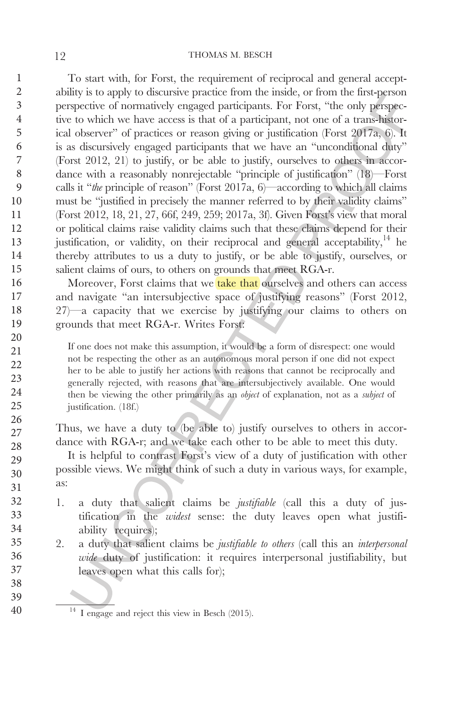1  $\overline{2}$ 3 4 5 6 7 8 9 10 11 12 13 14 15 To start with, for Forst, the requirement of reciprocal and general acceptability is to apply to discursive practice from the inside, or from the first-person perspective of normatively engaged participants. For Forst, "the only perspective to which we have access is that of a participant, not one of a trans-historical observer" of practices or reason giving or justification (Forst 2017a, 6). It is as discursively engaged participants that we have an "unconditional duty" (Forst 2012, 21) to justify, or be able to justify, ourselves to others in accordance with a reasonably nonrejectable "principle of justification" (18)—Forst calls it "*the* principle of reason" (Forst 2017a, 6)—according to which all claims must be "justified in precisely the manner referred to by their validity claims" (Forst 2012, 18, 21, 27, 66f, 249, 259; 2017a, 3f). Given Forst's view that moral or political claims raise validity claims such that these claims depend for their justification, or validity, on their reciprocal and general acceptability,  $14$  he thereby attributes to us a duty to justify, or be able to justify, ourselves, or salient claims of ours, to others on grounds that meet RGA-r.

16 17 18 19 Moreover, Forst claims that we take that ourselves and others can access and navigate "an intersubjective space of justifying reasons" (Forst 2012, 27)—a capacity that we exercise by justifying our claims to others on grounds that meet RGA-r. Writes Forst:

> If one does not make this assumption, it would be a form of disrespect: one would not be respecting the other as an autonomous moral person if one did not expect her to be able to justify her actions with reasons that cannot be reciprocally and generally rejected, with reasons that are intersubjectively available. One would then be viewing the other primarily as an *object* of explanation, not as a *subject* of justification. (18f.)

Thus, we have a duty to (be able to) justify ourselves to others in accordance with RGA-r; and we take each other to be able to meet this duty.

It is helpful to contrast Forst's view of a duty of justification with other possible views. We might think of such a duty in various ways, for example, as:

- 32 33 34 1. a duty that salient claims be *justifiable* (call this a duty of justification in the *widest* sense: the duty leaves open what justifiability requires);
	- 2. a duty that salient claims be *justifiable to others* (call this an *interpersonal wide* duty of justification: it requires interpersonal justifiability, but leaves open what this calls for);
- 38 39

35 36 37

<sup>&</sup>lt;sup>14</sup> I engage and reject this view in Besch (2015).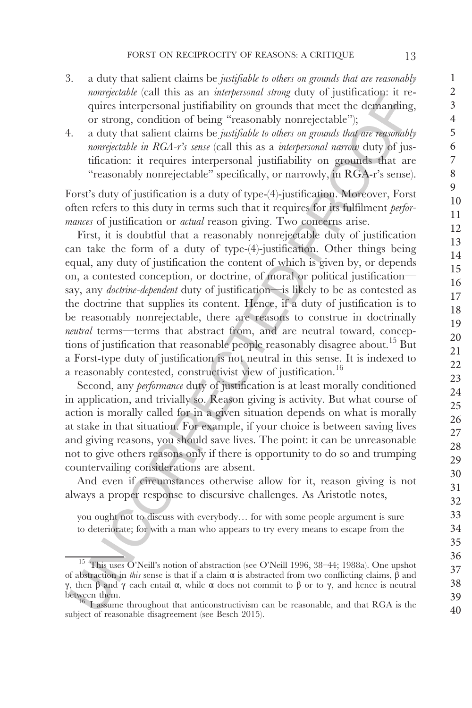- 3. a duty that salient claims be *justifiable to others on grounds that are reasonably nonrejectable* (call this as an *interpersonal strong* duty of justification: it requires interpersonal justifiability on grounds that meet the demanding, or strong, condition of being "reasonably nonrejectable");
- 4. a duty that salient claims be *justifiable to others on grounds that are reasonably nonrejectable in RGA-r's sense* (call this as a *interpersonal narrow* duty of justification: it requires interpersonal justifiability on grounds that are "reasonably nonrejectable" specifically, or narrowly, in RGA-r's sense).

Forst's duty of justification is a duty of type-(4)-justification. Moreover, Forst often refers to this duty in terms such that it requires for its fulfilment *performances* of justification or *actual* reason giving. Two concerns arise.

First, it is doubtful that a reasonably nonrejectable duty of justification can take the form of a duty of type-(4)-justification. Other things being equal, any duty of justification the content of which is given by, or depends on, a contested conception, or doctrine, of moral or political justification say, any *doctrine-dependent* duty of justification—is likely to be as contested as the doctrine that supplies its content. Hence, if a duty of justification is to be reasonably nonrejectable, there are reasons to construe in doctrinally *neutral* terms—terms that abstract from, and are neutral toward, conceptions of justification that reasonable people reasonably disagree about.<sup>15</sup> But a Forst-type duty of justification is not neutral in this sense. It is indexed to a reasonably contested, constructivist view of justification.<sup>16</sup>

Second, any *performance* duty of justification is at least morally conditioned in application, and trivially so. Reason giving is activity. But what course of action is morally called for in a given situation depends on what is morally at stake in that situation. For example, if your choice is between saving lives and giving reasons, you should save lives. The point: it can be unreasonable not to give others reasons only if there is opportunity to do so and trumping countervailing considerations are absent.

And even if circumstances otherwise allow for it, reason giving is not always a proper response to discursive challenges. As Aristotle notes,

you ought not to discuss with everybody… for with some people argument is sure to deteriorate; for with a man who appears to try every means to escape from the

<sup>15</sup> This uses O'Neill's notion of abstraction (see O'Neill 1996, 38–44; 1988a). One upshot of abstraction in *this* sense is that if a claim  $\alpha$  is abstracted from two conflicting claims,  $\hat{\beta}$  and γ, then β and γ each entail α, while α does not commit to β or to γ, and hence is neutral

 $6$  I assume throughout that anticonstructivism can be reasonable, and that RGA is the subject of reasonable disagreement (see Besch 2015).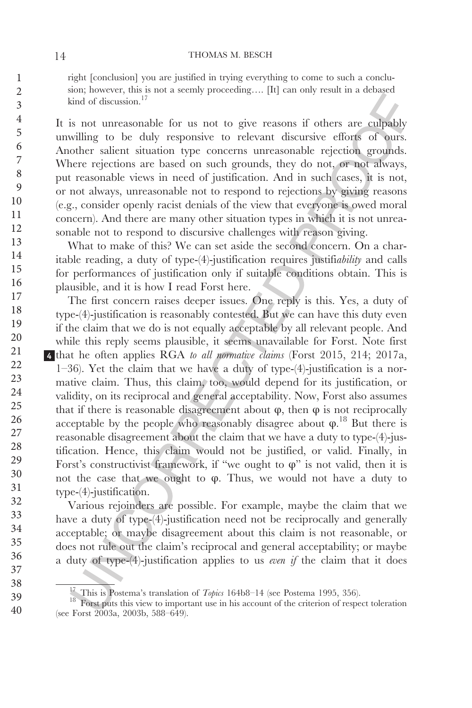right [conclusion] you are justified in trying everything to come to such a conclusion; however, this is not a seemly proceeding…. [It] can only result in a debased kind of discussion.<sup>17</sup>

It is not unreasonable for us not to give reasons if others are culpably unwilling to be duly responsive to relevant discursive efforts of ours. Another salient situation type concerns unreasonable rejection grounds. Where rejections are based on such grounds, they do not, or not always, put reasonable views in need of justification. And in such cases, it is not, or not always, unreasonable not to respond to rejections by giving reasons (e.g., consider openly racist denials of the view that everyone is owed moral concern). And there are many other situation types in which it is not unreasonable not to respond to discursive challenges with reason giving.

What to make of this? We can set aside the second concern. On a charitable reading, a duty of type-(4)-justification requires justifi*ability* and calls for performances of justification only if suitable conditions obtain. This is plausible, and it is how I read Forst here.

The first concern raises deeper issues. One reply is this. Yes, a duty of type-(4)-justification is reasonably contested. But we can have this duty even if the claim that we do is not equally acceptable by all relevant people. And while this reply seems plausible, it seems unavailable for Forst. Note first that he often applies RGA *to all normative claims* (Forst 2015, 214; 2017a, **[4](#page--1-3)**1–36). Yet the claim that we have a duty of type-(4)-justification is a normative claim. Thus, this claim, too, would depend for its justification, or validity, on its reciprocal and general acceptability. Now, Forst also assumes that if there is reasonable disagreement about  $φ$ , then  $φ$  is not reciprocally acceptable by the people who reasonably disagree about  $\varphi$ .<sup>18</sup> But there is reasonable disagreement about the claim that we have a duty to type-(4)-justification. Hence, this claim would not be justified, or valid. Finally, in Forst's constructivist framework, if "we ought to  $\varphi$ " is not valid, then it is not the case that we ought to φ. Thus, we would not have a duty to type-(4)-justification.

Various rejoinders are possible. For example, maybe the claim that we have a duty of type-(4)-justification need not be reciprocally and generally acceptable; or maybe disagreement about this claim is not reasonable, or does not rule out the claim's reciprocal and general acceptability; or maybe a duty of type-(4)-justification applies to us *even if* the claim that it does

<sup>&</sup>lt;sup>17</sup> This is Postema's translation of *Topics* 164b8–14 (see Postema 1995, 356).<br><sup>18</sup> Forst puts this view to important use in his account of the criterion of respect toleration (see Forst 2003a, 2003b, 588–649).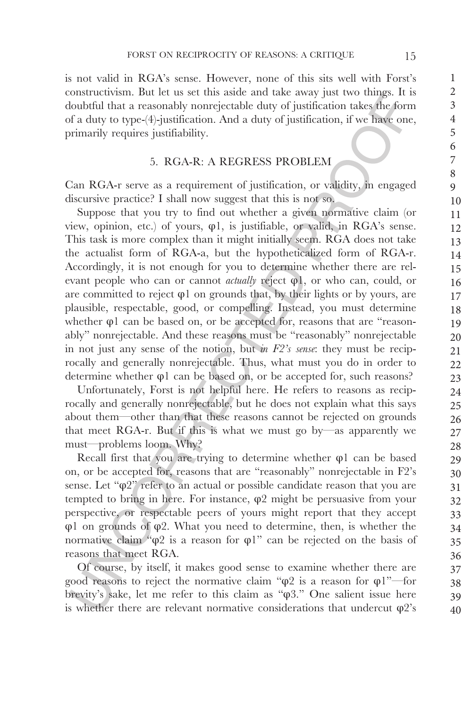is not valid in RGA's sense. However, none of this sits well with Forst's constructivism. But let us set this aside and take away just two things. It is doubtful that a reasonably nonrejectable duty of justification takes the form of a duty to type-(4)-justification. And a duty of justification, if we have one, primarily requires justifiability.

## 5. RGA-R: A REGRESS PROBLEM

Can RGA-r serve as a requirement of justification, or validity, in engaged discursive practice? I shall now suggest that this is not so.

Suppose that you try to find out whether a given normative claim (or view, opinion, etc.) of yours, φ1, is justifiable, or valid, in RGA's sense. This task is more complex than it might initially seem. RGA does not take the actualist form of RGA-a, but the hypotheticalized form of RGA-r. Accordingly, it is not enough for you to determine whether there are relevant people who can or cannot *actually* reject φ1, or who can, could, or are committed to reject  $\varphi$ l on grounds that, by their lights or by yours, are plausible, respectable, good, or compelling. Instead, you must determine whether φ1 can be based on, or be accepted for, reasons that are "reasonably" nonrejectable. And these reasons must be "reasonably" nonrejectable in not just any sense of the notion, but *in F2's sense*: they must be reciprocally and generally nonrejectable. Thus, what must you do in order to determine whether φ1 can be based on, or be accepted for, such reasons?

Unfortunately, Forst is not helpful here. He refers to reasons as reciprocally and generally nonrejectable, but he does not explain what this says about them—other than that these reasons cannot be rejected on grounds that meet RGA-r. But if this is what we must go by—as apparently we must—problems loom. Why?

Recall first that you are trying to determine whether φ1 can be based on, or be accepted for, reasons that are "reasonably" nonrejectable in F2's sense. Let "φ2" refer to an actual or possible candidate reason that you are tempted to bring in here. For instance,  $\varphi$ 2 might be persuasive from your perspective, or respectable peers of yours might report that they accept φ1 on grounds of φ2. What you need to determine, then, is whether the normative claim "φ2 is a reason for φ1" can be rejected on the basis of reasons that meet RGA.

Of course, by itself, it makes good sense to examine whether there are good reasons to reject the normative claim " $\varphi$ 2 is a reason for  $\varphi$ 1"—for brevity's sake, let me refer to this claim as "φ3." One salient issue here is whether there are relevant normative considerations that undercut  $\varphi$ ?'s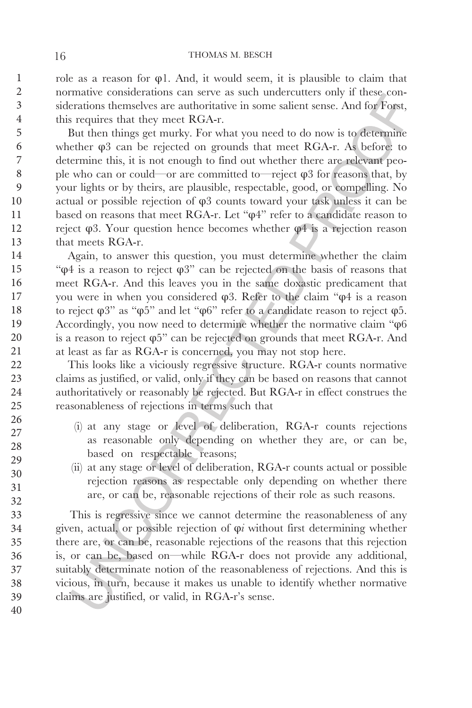role as a reason for φ1. And, it would seem, it is plausible to claim that normative considerations can serve as such undercutters only if these considerations themselves are authoritative in some salient sense. And for Forst, this requires that they meet RGA-r.

But then things get murky. For what you need to do now is to determine whether φ3 can be rejected on grounds that meet RGA-r. As before: to determine this, it is not enough to find out whether there are relevant people who can or could—or are committed to—reject φ3 for reasons that, by your lights or by theirs, are plausible, respectable, good, or compelling. No actual or possible rejection of φ3 counts toward your task unless it can be based on reasons that meet RGA-r. Let "φ4" refer to a candidate reason to reject φ3. Your question hence becomes whether φ4 is a rejection reason that meets RGA-r.

14 15 16 17 18 19 20 21 Again, to answer this question, you must determine whether the claim "φ4 is a reason to reject φ3" can be rejected on the basis of reasons that meet RGA-r. And this leaves you in the same doxastic predicament that you were in when you considered φ3. Refer to the claim "φ4 is a reason to reject φ3" as "φ5" and let "φ6" refer to a candidate reason to reject φ5. Accordingly, you now need to determine whether the normative claim "φ6 is a reason to reject φ5" can be rejected on grounds that meet RGA-r. And at least as far as RGA-r is concerned, you may not stop here.

22 23 24 25 This looks like a viciously regressive structure. RGA-r counts normative claims as justified, or valid, only if they can be based on reasons that cannot authoritatively or reasonably be rejected. But RGA-r in effect construes the reasonableness of rejections in terms such that

- (i) at any stage or level of deliberation, RGA-r counts rejections as reasonable only depending on whether they are, or can be, based on respectable reasons;
- (ii) at any stage or level of deliberation, RGA-r counts actual or possible rejection reasons as respectable only depending on whether there are, or can be, reasonable rejections of their role as such reasons.

33 34 35 36 37 38 39 This is regressive since we cannot determine the reasonableness of any given, actual, or possible rejection of φ*i* without first determining whether there are, or can be, reasonable rejections of the reasons that this rejection is, or can be, based on—while RGA-r does not provide any additional, suitably determinate notion of the reasonableness of rejections. And this is vicious, in turn, because it makes us unable to identify whether normative claims are justified, or valid, in RGA-r's sense.

40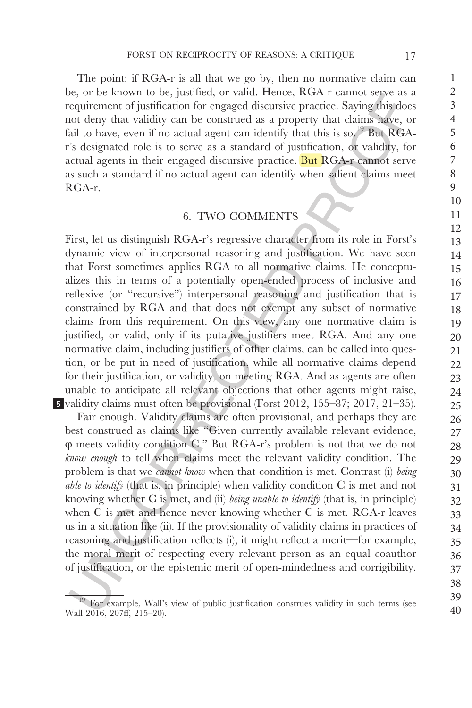The point: if RGA-r is all that we go by, then no normative claim can be, or be known to be, justified, or valid. Hence, RGA-r cannot serve as a requirement of justification for engaged discursive practice. Saying this does not deny that validity can be construed as a property that claims have, or fail to have, even if no actual agent can identify that this is so.<sup>19</sup> But RGAr's designated role is to serve as a standard of justification, or validity, for actual agents in their engaged discursive practice. But RGA-r cannot serve as such a standard if no actual agent can identify when salient claims meet RGA-r.

## 6. TWO COMMENTS

First, let us distinguish RGA-r's regressive character from its role in Forst's dynamic view of interpersonal reasoning and justification. We have seen that Forst sometimes applies RGA to all normative claims. He conceptualizes this in terms of a potentially open-ended process of inclusive and reflexive (or "recursive") interpersonal reasoning and justification that is constrained by RGA and that does not exempt any subset of normative claims from this requirement. On this view, any one normative claim is justified, or valid, only if its putative justifiers meet RGA. And any one normative claim, including justifiers of other claims, can be called into question, or be put in need of justification, while all normative claims depend for their justification, or validity, on meeting RGA. And as agents are often unable to anticipate all relevant objections that other agents might raise, validity claims must often be provisional (Forst 2012, 155–87; 2017, 21–35). **[5](#page--1-4)**

Fair enough. Validity claims are often provisional, and perhaps they are best construed as claims like "Given currently available relevant evidence, φ meets validity condition C." But RGA-r's problem is not that we do not *know enough* to tell when claims meet the relevant validity condition. The problem is that we *cannot know* when that condition is met. Contrast (i) *being able to identify* (that is, in principle) when validity condition C is met and not knowing whether C is met, and (ii) *being unable to identify* (that is, in principle) when C is met and hence never knowing whether C is met. RGA-r leaves us in a situation like (ii). If the provisionality of validity claims in practices of reasoning and justification reflects (i), it might reflect a merit—for example, the moral merit of respecting every relevant person as an equal coauthor of justification, or the epistemic merit of open-mindedness and corrigibility.

<sup>&</sup>lt;sup>19</sup> For example, Wall's view of public justification construes validity in such terms (see Wall 2016, 207ff, 215-20).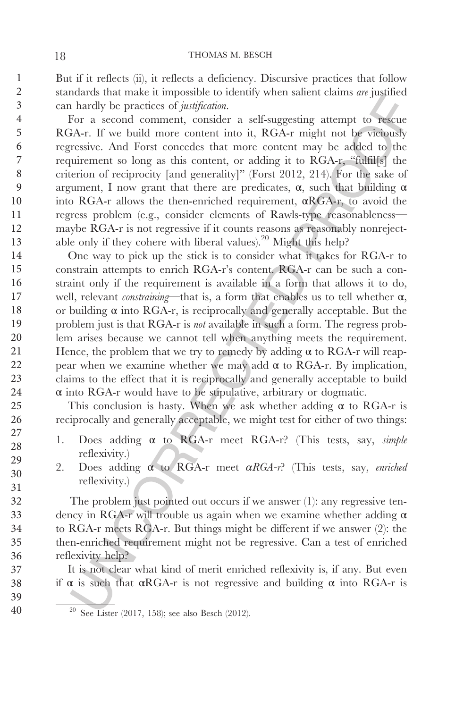But if it reflects (ii), it reflects a deficiency. Discursive practices that follow standards that make it impossible to identify when salient claims *are* justified can hardly be practices of *justification*.

For a second comment, consider a self-suggesting attempt to rescue RGA-r. If we build more content into it, RGA-r might not be viciously regressive. And Forst concedes that more content may be added to the requirement so long as this content, or adding it to RGA-r, "fulfil[s] the criterion of reciprocity [and generality]" (Forst 2012, 214). For the sake of argument, I now grant that there are predicates,  $\alpha$ , such that building  $\alpha$ into RGA-r allows the then-enriched requirement, αRGA-r, to avoid the regress problem (e.g., consider elements of Rawls-type reasonableness maybe RGA-r is not regressive if it counts reasons as reasonably nonrejectable only if they cohere with liberal values).<sup>20</sup> Might this help?

14 15 16 17 18 19 20 21 22 23 24 One way to pick up the stick is to consider what it takes for RGA-r to constrain attempts to enrich RGA-r's content. RGA-r can be such a constraint only if the requirement is available in a form that allows it to do, well, relevant *constraining*—that is, a form that enables us to tell whether  $\alpha$ , or building  $\alpha$  into RGA-r, is reciprocally and generally acceptable. But the problem just is that RGA-r is *not* available in such a form. The regress problem arises because we cannot tell when anything meets the requirement. Hence, the problem that we try to remedy by adding  $\alpha$  to RGA-r will reappear when we examine whether we may add  $\alpha$  to RGA-r. By implication, claims to the effect that it is reciprocally and generally acceptable to build α into RGA-r would have to be stipulative, arbitrary or dogmatic.

This conclusion is hasty. When we ask whether adding  $\alpha$  to RGA-r is reciprocally and generally acceptable, we might test for either of two things:

- 1. Does adding α to RGA-r meet RGA-r? (This tests, say, *simple* reflexivity.)
- 2. Does adding α to RGA-r meet *αRGA-r*? (This tests, say, *enriched* reflexivity.)

The problem just pointed out occurs if we answer (1): any regressive tendency in RGA-r will trouble us again when we examine whether adding  $\alpha$ to RGA-r meets RGA-r. But things might be different if we answer (2): the then-enriched requirement might not be regressive. Can a test of enriched reflexivity help?

It is not clear what kind of merit enriched reflexivity is, if any. But even if  $\alpha$  is such that  $\alpha RGA-r$  is not regressive and building  $\alpha$  into RGA-r is

38 39 40

<sup>20</sup> See Lister (2017, 158); see also Besch (2012).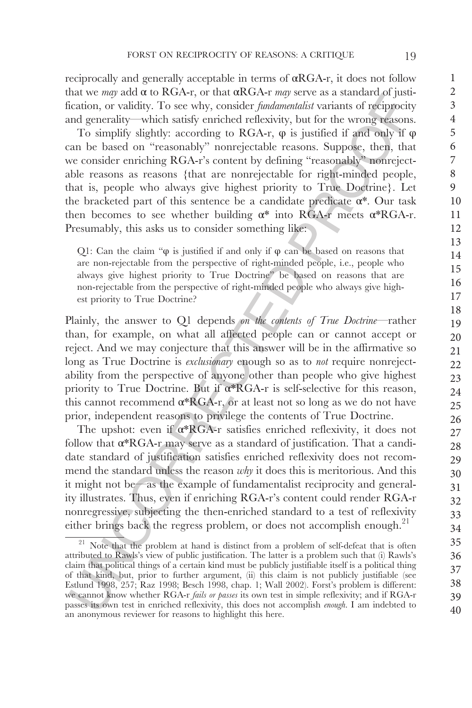reciprocally and generally acceptable in terms of αRGA-r, it does not follow that we *may* add  $\alpha$  to RGA-r, or that  $\alpha$ RGA-r *may* serve as a standard of justification, or validity. To see why, consider *fundamentalist* variants of reciprocity and generality—which satisfy enriched reflexivity, but for the wrong reasons.

To simplify slightly: according to RGA-r,  $\varphi$  is justified if and only if  $\varphi$ can be based on "reasonably" nonrejectable reasons. Suppose, then, that we consider enriching RGA-r's content by defining "reasonably" nonrejectable reasons as reasons {that are nonrejectable for right-minded people, that is, people who always give highest priority to True Doctrine}. Let the bracketed part of this sentence be a candidate predicate  $\alpha^*$ . Our task then becomes to see whether building  $\alpha^*$  into RGA-r meets  $\alpha^*RGA$ -r. Presumably, this asks us to consider something like:

Q1: Can the claim " $\varphi$  is justified if and only if  $\varphi$  can be based on reasons that are non-rejectable from the perspective of right-minded people, i.e., people who always give highest priority to True Doctrine" be based on reasons that are non-rejectable from the perspective of right-minded people who always give highest priority to True Doctrine?

Plainly, the answer to Q1 depends *on the contents of True Doctrine*—rather than, for example, on what all affected people can or cannot accept or reject. And we may conjecture that this answer will be in the affirmative so long as True Doctrine is *exclusionary* enough so as to *not* require nonrejectability from the perspective of anyone other than people who give highest priority to True Doctrine. But if  $\alpha^*RGA-r$  is self-selective for this reason, this cannot recommend  $\alpha^*RGA-r$ , or at least not so long as we do not have prior, independent reasons to privilege the contents of True Doctrine.

The upshot: even if α\*RGA-r satisfies enriched reflexivity, it does not follow that α\*RGA-r may serve as a standard of justification. That a candidate standard of justification satisfies enriched reflexivity does not recommend the standard unless the reason *why* it does this is meritorious. And this it might not be—as the example of fundamentalist reciprocity and generality illustrates. Thus, even if enriching RGA-r's content could render RGA-r nonregressive, subjecting the then-enriched standard to a test of reflexivity either brings back the regress problem, or does not accomplish enough. $21$ 

 $21$  Note that the problem at hand is distinct from a problem of self-defeat that is often attributed to Rawls's view of public justification. The latter is a problem such that (i) Rawls's claim that political things of a certain kind must be publicly justifiable itself is a political thing of that kind, but, prior to further argument, (ii) this claim is not publicly justifiable (see Estlund 1998, 257; Raz 1998; Besch 1998, chap. 1; Wall 2002). Forst's problem is different: we cannot know whether RGA-r *fails or passes* its own test in simple reflexivity; and if RGA-r passes its own test in enriched reflexivity, this does not accomplish *enough*. I am indebted to an anonymous reviewer for reasons to highlight this here.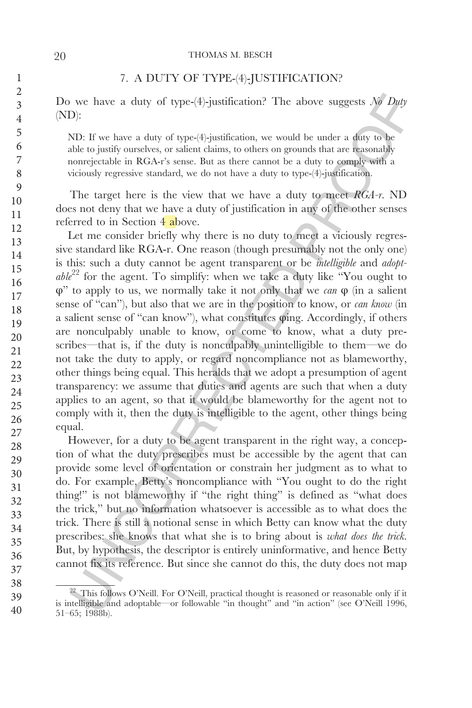#### 7. A DUTY OF TYPE-(4)-JUSTIFICATION?

Do we have a duty of type-(4)-justification? The above suggests *No Duty*  $(ND)$ :

ND: If we have a duty of type-(4)-justification, we would be under a duty to be able to justify ourselves, or salient claims, to others on grounds that are reasonably nonrejectable in RGA-r's sense. But as there cannot be a duty to comply with a viciously regressive standard, we do not have a duty to type-(4)-justification.

The target here is the view that we have a duty to meet *RGA-r*. ND does not deny that we have a duty of justification in any of the other senses referred to in Section 4 above.

Let me consider briefly why there is no duty to meet a viciously regressive standard like RGA-r. One reason (though presumably not the only one) is this: such a duty cannot be agent transparent or be *intelligible* and *adopt* $able^{22}$  for the agent. To simplify: when we take a duty like "You ought to φ" to apply to us, we normally take it not only that we *can* φ (in a salient sense of "can"), but also that we are in the position to know, or *can know* (in a salient sense of "can know"), what constitutes φing. Accordingly, if others are nonculpably unable to know, or come to know, what a duty prescribes—that is, if the duty is nonculpably unintelligible to them—we do not take the duty to apply, or regard noncompliance not as blameworthy, other things being equal. This heralds that we adopt a presumption of agent transparency: we assume that duties and agents are such that when a duty applies to an agent, so that it would be blameworthy for the agent not to comply with it, then the duty is intelligible to the agent, other things being equal.

However, for a duty to be agent transparent in the right way, a conception of what the duty prescribes must be accessible by the agent that can provide some level of orientation or constrain her judgment as to what to do. For example, Betty's noncompliance with "You ought to do the right thing!" is not blameworthy if "the right thing" is defined as "what does the trick," but no information whatsoever is accessible as to what does the trick. There is still a notional sense in which Betty can know what the duty prescribes: she knows that what she is to bring about is *what does the trick*. But, by hypothesis, the descriptor is entirely uninformative, and hence Betty cannot fix its reference. But since she cannot do this, the duty does not map

<sup>39</sup> 40 <sup>22</sup> This follows O'Neill. For O'Neill, practical thought is reasoned or reasonable only if it is intelligible and adoptable—or followable "in thought" and "in action" (see O'Neill 1996, 51–65; 1988b).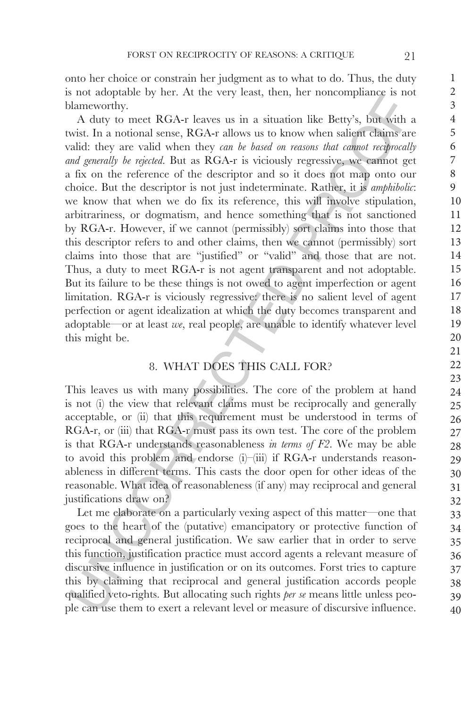onto her choice or constrain her judgment as to what to do. Thus, the duty is not adoptable by her. At the very least, then, her noncompliance is not blameworthy.

A duty to meet RGA-r leaves us in a situation like Betty's, but with a twist. In a notional sense, RGA-r allows us to know when salient claims are valid: they are valid when they *can be based on reasons that cannot reciprocally and generally be rejected.* But as RGA-r is viciously regressive, we cannot get a fix on the reference of the descriptor and so it does not map onto our choice. But the descriptor is not just indeterminate. Rather, it is *amphibolic*: we know that when we do fix its reference, this will involve stipulation, arbitrariness, or dogmatism, and hence something that is not sanctioned by RGA-r. However, if we cannot (permissibly) sort claims into those that this descriptor refers to and other claims, then we cannot (permissibly) sort claims into those that are "justified" or "valid" and those that are not. Thus, a duty to meet RGA-r is not agent transparent and not adoptable. But its failure to be these things is not owed to agent imperfection or agent limitation. RGA-r is viciously regressive: there is no salient level of agent perfection or agent idealization at which the duty becomes transparent and adoptable—or at least *we*, real people, are unable to identify whatever level this might be.

## 8. WHAT DOES THIS CALL FOR?

This leaves us with many possibilities. The core of the problem at hand is not (i) the view that relevant claims must be reciprocally and generally acceptable, or (ii) that this requirement must be understood in terms of RGA-r, or (iii) that RGA-r must pass its own test. The core of the problem is that RGA-r understands reasonableness *in terms of F2*. We may be able to avoid this problem and endorse (i)–(iii) if RGA-r understands reasonableness in different terms. This casts the door open for other ideas of the reasonable. What idea of reasonableness (if any) may reciprocal and general justifications draw on?

Let me elaborate on a particularly vexing aspect of this matter—one that goes to the heart of the (putative) emancipatory or protective function of reciprocal and general justification. We saw earlier that in order to serve this function, justification practice must accord agents a relevant measure of discursive influence in justification or on its outcomes. Forst tries to capture this by claiming that reciprocal and general justification accords people qualified veto-rights. But allocating such rights *per se* means little unless people can use them to exert a relevant level or measure of discursive influence.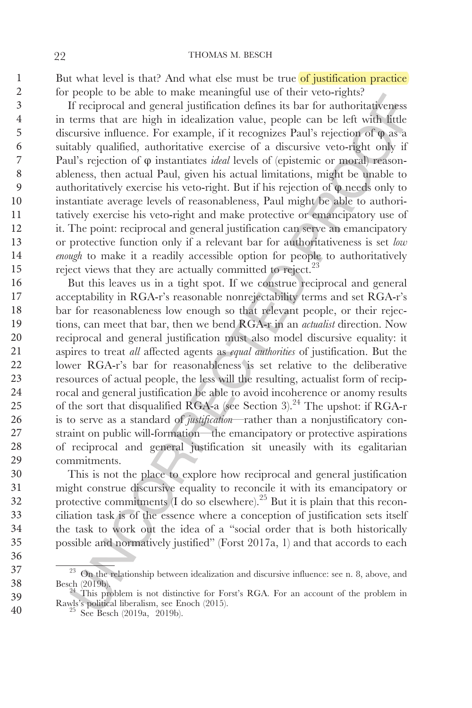But what level is that? And what else must be true of justification practice for people to be able to make meaningful use of their veto-rights?

If reciprocal and general justification defines its bar for authoritativeness in terms that are high in idealization value, people can be left with little discursive influence. For example, if it recognizes Paul's rejection of φ as a suitably qualified, authoritative exercise of a discursive veto-right only if Paul's rejection of φ instantiates *ideal* levels of (epistemic or moral) reasonableness, then actual Paul, given his actual limitations, might be unable to authoritatively exercise his veto-right. But if his rejection of  $\varphi$  needs only to instantiate average levels of reasonableness, Paul might be able to authoritatively exercise his veto-right and make protective or emancipatory use of it. The point: reciprocal and general justification can serve an emancipatory or protective function only if a relevant bar for authoritativeness is set *low enough* to make it a readily accessible option for people to authoritatively reject views that they are actually committed to reject.<sup>23</sup>

16 17 18 19 20 21 22 23 24 25 26 27 28 29 But this leaves us in a tight spot. If we construe reciprocal and general acceptability in RGA-r's reasonable nonrejectability terms and set RGA-r's bar for reasonableness low enough so that relevant people, or their rejections, can meet that bar, then we bend RGA-r in an *actualist* direction. Now reciprocal and general justification must also model discursive equality: it aspires to treat *all* affected agents as *equal authorities* of justification. But the lower RGA-r's bar for reasonableness is set relative to the deliberative resources of actual people, the less will the resulting, actualist form of reciprocal and general justification be able to avoid incoherence or anomy results of the sort that disqualified RGA-a (see Section 3).<sup>24</sup> The upshot: if RGA-r is to serve as a standard of *justification*—rather than a nonjustificatory constraint on public will-formation—the emancipatory or protective aspirations of reciprocal and general justification sit uneasily with its egalitarian commitments.

This is not the place to explore how reciprocal and general justification might construe discursive equality to reconcile it with its emancipatory or protective commitments  $(I \text{ do so elsewhere})^{25}$  But it is plain that this reconciliation task is of the essence where a conception of justification sets itself the task to work out the idea of a "social order that is both historically possible and normatively justified" (Forst 2017a, 1) and that accords to each

38 39 40

 $\frac{23}{23}$  On the relationship between idealization and discursive influence: see n. 8, above, and Besch (2019b).

 $24$  This problem is not distinctive for Forst's RGA. For an account of the problem in Rawls's political liberalism, see Enoch (2015). <sup>25</sup> See Besch (2019a, 2019b).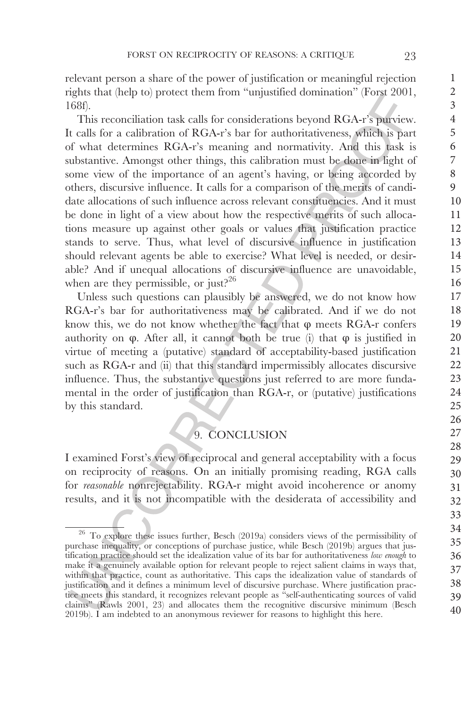relevant person a share of the power of justification or meaningful rejection rights that (help to) protect them from "unjustified domination" (Forst 2001, 168f).

This reconciliation task calls for considerations beyond RGA-r's purview. It calls for a calibration of RGA-r's bar for authoritativeness, which is part of what determines RGA-r's meaning and normativity. And this task is substantive. Amongst other things, this calibration must be done in light of some view of the importance of an agent's having, or being accorded by others, discursive influence. It calls for a comparison of the merits of candidate allocations of such influence across relevant constituencies. And it must be done in light of a view about how the respective merits of such allocations measure up against other goals or values that justification practice stands to serve. Thus, what level of discursive influence in justification should relevant agents be able to exercise? What level is needed, or desirable? And if unequal allocations of discursive influence are unavoidable, when are they permissible, or just? $2^{26}$ 

Unless such questions can plausibly be answered, we do not know how RGA-r's bar for authoritativeness may be calibrated. And if we do not know this, we do not know whether the fact that φ meets RGA-r confers authority on  $\varphi$ . After all, it cannot both be true (i) that  $\varphi$  is justified in virtue of meeting a (putative) standard of acceptability-based justification such as RGA-r and (ii) that this standard impermissibly allocates discursive influence. Thus, the substantive questions just referred to are more fundamental in the order of justification than RGA-r, or (putative) justifications by this standard.

# 9. CONCLUSION

I examined Forst's view of reciprocal and general acceptability with a focus on reciprocity of reasons. On an initially promising reading, RGA calls for *reasonable* nonrejectability. RGA-r might avoid incoherence or anomy results, and it is not incompatible with the desiderata of accessibility and

 $26$  To explore these issues further, Besch (2019a) considers views of the permissibility of purchase inequality, or conceptions of purchase justice, while Besch (2019b) argues that justification practice should set the idealization value of its bar for authoritativeness *low enough* to make it a genuinely available option for relevant people to reject salient claims in ways that, within that practice, count as authoritative. This caps the idealization value of standards of justification and it defines a minimum level of discursive purchase. Where justification practice meets this standard, it recognizes relevant people as "self-authenticating sources of valid claims" (Rawls 2001, 23) and allocates them the recognitive discursive minimum (Besch  $2019b$ ). I am indebted to an anonymous reviewer for reasons to highlight this here.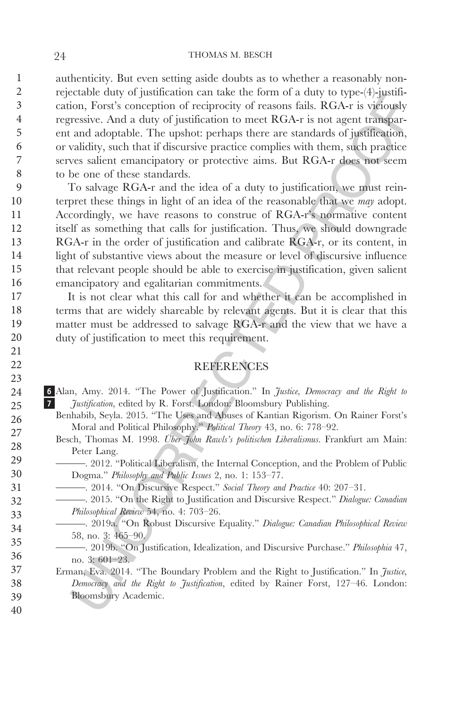1  $\mathfrak{D}$ 3 4 5 6 7 8 authenticity. But even setting aside doubts as to whether a reasonably nonrejectable duty of justification can take the form of a duty to type-(4)-justification, Forst's conception of reciprocity of reasons fails. RGA-r is viciously regressive. And a duty of justification to meet RGA-r is not agent transparent and adoptable. The upshot: perhaps there are standards of justification, or validity, such that if discursive practice complies with them, such practice serves salient emancipatory or protective aims. But RGA-r does not seem to be one of these standards.

9 10 11 12 13 14 15 16 To salvage RGA-r and the idea of a duty to justification, we must reinterpret these things in light of an idea of the reasonable that we *may* adopt. Accordingly, we have reasons to construe of RGA-r's normative content itself as something that calls for justification. Thus, we should downgrade RGA-r in the order of justification and calibrate RGA-r, or its content, in light of substantive views about the measure or level of discursive influence that relevant people should be able to exercise in justification, given salient emancipatory and egalitarian commitments.

It is not clear what this call for and whether it can be accomplished in terms that are widely shareable by relevant agents. But it is clear that this matter must be addressed to salvage RGA-r and the view that we have a duty of justification to meet this requirement.

### **REFERENCES**

- Alan, Amy. 2014. "The Power of Justification." In *Justice, Democracy and the Right to*  **[6](#page--1-5)** *Justification*, edited by R. Forst. London: Bloomsbury Publishing. **[7](#page--1-6)**
	- Benhabib, Seyla. 2015. "The Uses and Abuses of Kantian Rigorism. On Rainer Forst's Moral and Political Philosophy." *Political Theory* 43, no. 6: 778–92.
	- Besch, Thomas M. 1998. *Über John Rawls's politischen Liberalismus*. Frankfurt am Main: Peter Lang.<br>
	— 2012. "Political Liberalism, the Internal Conception, and the Problem of Public
	- Dogma." Philosophy and Public Issues 2, no. 1: 153–77.<br>2014. "On Discursive Respect." Social Theory and Practice 40: 207–31.<br>2015. "On the Right to Justification and Discursive Respect." Dialogue: Canadian
- 
- 32 33 *Philosophical Review* 54, no. 4: 703–26. . 2019a. "On Robust Discursive Equality." *Dialogue: Canadian Philosophical Review*
- 34 58, no. 3: 465–90. . 2019b. "On Justification, Idealization, and Discursive Purchase." *Philosophia* 47,
- 35 36 no. 3: 601–23.
- 37 38 39 Erman, Eva. 2014. "The Boundary Problem and the Right to Justification." In *Justice, Democracy and the Right to Justification*, edited by Rainer Forst, 127–46. London: Bloomsbury Academic.
- 40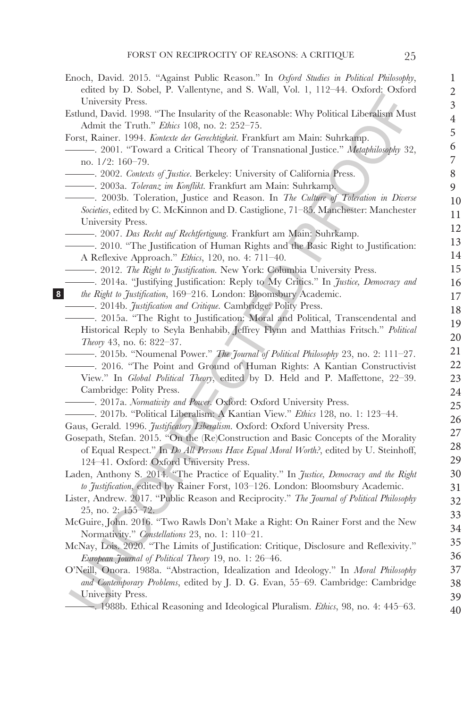| Enoch, David. 2015. "Against Public Reason." In Oxford Studies in Political Philosophy,                                                        | $\!1$          |
|------------------------------------------------------------------------------------------------------------------------------------------------|----------------|
| edited by D. Sobel, P. Vallentyne, and S. Wall, Vol. 1, 112-44. Oxford: Oxford                                                                 | $\sqrt{2}$     |
| University Press.                                                                                                                              | $\mathfrak{Z}$ |
| Estlund, David. 1998. "The Insularity of the Reasonable: Why Political Liberalism Must                                                         | 4              |
| Admit the Truth." <i>Ethics</i> 108, no. 2: 252-75.                                                                                            |                |
| Forst, Rainer. 1994. Kontexte der Gerechtigkeit. Frankfurt am Main: Suhrkamp.                                                                  | 5              |
| -2001. "Toward a Critical Theory of Transnational Justice." Metaphilosophy 32,                                                                 | 6              |
| no. 1/2: 160–79.                                                                                                                               | $\overline{7}$ |
| -2002. Contexts of Justice. Berkeley: University of California Press.                                                                          | $\,8\,$        |
| - 2003a. Toleranz im Konflikt. Frankfurt am Main: Suhrkamp.                                                                                    | 9              |
| - 2003b. Toleration, Justice and Reason. In The Culture of Toleration in Diverse                                                               | 10             |
| Societies, edited by C. McKinnon and D. Castiglione, 71-85. Manchester: Manchester                                                             | 11             |
| University Press.                                                                                                                              |                |
| - 2007. Das Recht auf Rechtfertigung. Frankfurt am Main: Suhrkamp.                                                                             | $12\,$         |
| -. 2010. "The Justification of Human Rights and the Basic Right to Justification:                                                              | 13             |
| A Reflexive Approach." Ethics, 120, no. 4: 711-40.                                                                                             | 14             |
| - 2012. The Right to Justification. New York: Columbia University Press.                                                                       | 15             |
| - 2014a. "Justifying Justification: Reply to My Critics." In Justice, Democracy and                                                            | 16             |
| 8 <br>the Right to Justification, 169-216. London: Bloomsbury Academic.                                                                        | 17             |
| - 2014b. Justification and Critique. Cambridge: Polity Press.                                                                                  | 18             |
| -. 2015a. "The Right to Justification: Moral and Political, Transcendental and                                                                 | 19             |
| Historical Reply to Seyla Benhabib, Jeffrey Flynn and Matthias Fritsch." Political                                                             | 20             |
| <i>Theory</i> 43, no. 6: 822–37.                                                                                                               |                |
| -2015b. "Noumenal Power." The Journal of Political Philosophy 23, no. 2: 111-27.                                                               | 21             |
| -. 2016. "The Point and Ground of Human Rights: A Kantian Constructivist                                                                       | 22             |
| View." In Global Political Theory, edited by D. Held and P. Maffettone, 22-39.                                                                 | 23             |
| Cambridge: Polity Press.                                                                                                                       | 24             |
| -. 2017a. Normativity and Power. Oxford: Oxford University Press.                                                                              | 25             |
| -2017b. "Political Liberalism: A Kantian View." Ethics 128, no. 1: 123-44.                                                                     | 26             |
| Gaus, Gerald. 1996. Justificatory Liberalism. Oxford: Oxford University Press.                                                                 | 27             |
| Gosepath, Stefan. 2015. "On the (Re)Construction and Basic Concepts of the Morality                                                            | $28\,$         |
| of Equal Respect." In Do All Persons Have Equal Moral Worth?, edited by U. Steinhoff,                                                          |                |
| 124–41. Oxford: Oxford University Press.                                                                                                       | 29             |
| Laden, Anthony S. 2014. "The Practice of Equality." In Justice, Democracy and the Right                                                        | 30             |
| to Justification, edited by Rainer Forst, 103-126. London: Bloomsbury Academic.                                                                | 31             |
| Lister, Andrew. 2017. "Public Reason and Reciprocity." The Journal of Political Philosophy                                                     | 32             |
| $25$ , no. $2: 155 - 72$ .                                                                                                                     | 33             |
| McGuire, John. 2016. "Two Rawls Don't Make a Right: On Rainer Forst and the New                                                                | 34             |
| Normativity." Constellations 23, no. 1: 110-21.                                                                                                | 35             |
| McNay, Lois. 2020. "The Limits of Justification: Critique, Disclosure and Reflexivity."                                                        | 36             |
| European Journal of Political Theory 19, no. 1: 26-46.<br>O'Neill, Onora. 1988a. "Abstraction, Idealization and Ideology." In Moral Philosophy | 37             |
|                                                                                                                                                |                |
| and Contemporary Problems, edited by J. D. G. Evan, 55-69. Cambridge: Cambridge<br>University Press.                                           | 38             |
| -. 1988b. Ethical Reasoning and Ideological Pluralism. Ethics, 98, no. 4: 445-63.                                                              | 39             |
|                                                                                                                                                | 40             |